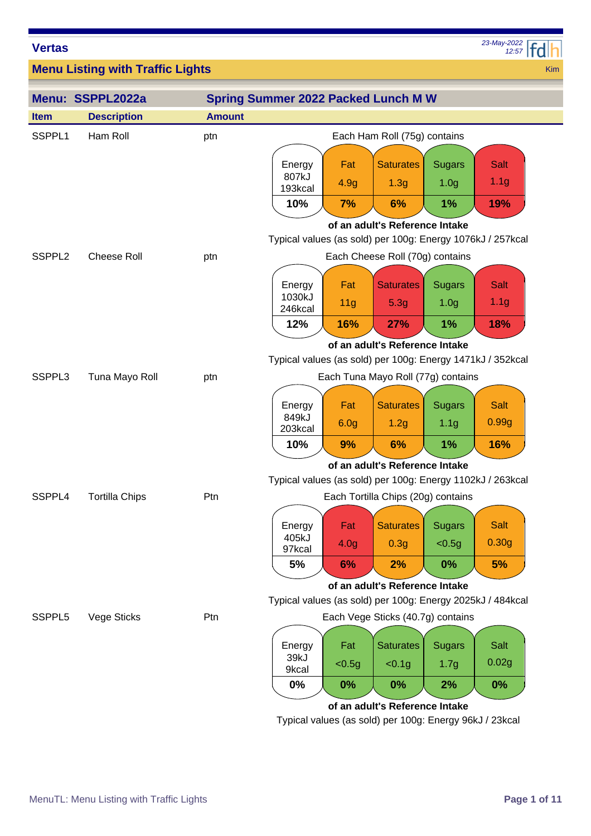*12:57 23-May-2022*

Kim

**Menu Listing with Traffic Lights**

|                          | Menu: SSPPL2022a      |                                                            | <b>Spring Summer 2022 Packed Lunch M W</b>                 |                                |                                                                   |                                   |                          |
|--------------------------|-----------------------|------------------------------------------------------------|------------------------------------------------------------|--------------------------------|-------------------------------------------------------------------|-----------------------------------|--------------------------|
| <b>Item</b>              | <b>Description</b>    | <b>Amount</b>                                              |                                                            |                                |                                                                   |                                   |                          |
| SSPPL1                   | Ham Roll              | ptn                                                        |                                                            |                                | Each Ham Roll (75g) contains                                      |                                   |                          |
|                          |                       |                                                            | Energy<br>807kJ<br>193kcal                                 | Fat<br>4.9g                    | <b>Saturates</b><br>1.3 <sub>g</sub>                              | <b>Sugars</b><br>1.0 <sub>g</sub> | Salt<br>1.1 <sub>g</sub> |
|                          |                       |                                                            | 10%                                                        | 7%                             | 6%                                                                | 1%                                | 19%                      |
| SSPPL <sub>2</sub>       | <b>Cheese Roll</b>    | ptn                                                        | Typical values (as sold) per 100g: Energy 1076kJ / 257kcal |                                | of an adult's Reference Intake<br>Each Cheese Roll (70g) contains |                                   |                          |
|                          |                       |                                                            | Energy<br>1030kJ<br>246kcal                                | Fat<br>11 <sub>g</sub>         | <b>Saturates</b><br>5.3g                                          | <b>Sugars</b><br>1.0 <sub>g</sub> | Salt<br>1.1 <sub>g</sub> |
|                          |                       |                                                            | 12%                                                        | 16%                            | <b>27%</b>                                                        | 1%                                | 18%                      |
| SSPPL3<br>Tuna Mayo Roll |                       | Typical values (as sold) per 100g: Energy 1471kJ / 352kcal |                                                            | of an adult's Reference Intake |                                                                   |                                   |                          |
|                          |                       | ptn                                                        |                                                            |                                | Each Tuna Mayo Roll (77g) contains                                |                                   |                          |
|                          |                       |                                                            | Energy<br>849kJ                                            | Fat<br>6.0 <sub>g</sub>        | <b>Saturates</b>                                                  | <b>Sugars</b><br>1.1 <sub>g</sub> | <b>Salt</b><br>0.99g     |
|                          |                       |                                                            | 203kcal                                                    |                                | 1.2g                                                              |                                   |                          |
|                          |                       |                                                            | 10%                                                        | 9%                             | 6%                                                                | 1%                                | 16%                      |
|                          |                       |                                                            | Typical values (as sold) per 100g: Energy 1102kJ / 263kcal |                                | of an adult's Reference Intake                                    |                                   |                          |
| SSPPL4                   | <b>Tortilla Chips</b> | Ptn                                                        |                                                            |                                | Each Tortilla Chips (20g) contains                                |                                   |                          |
|                          |                       |                                                            |                                                            |                                |                                                                   |                                   |                          |
|                          |                       |                                                            | Energy<br>405kJ                                            | Fat                            | <b>Saturates</b>                                                  | <b>Sugars</b>                     | Salt                     |
|                          |                       |                                                            | 97kcal                                                     | 4.0 <sub>g</sub>               | 0.3 <sub>g</sub>                                                  | $0.5g$                            | 0.30 <sub>g</sub>        |
|                          |                       |                                                            | 5%                                                         | 6%                             | 2%                                                                | $0\%$                             | 5%                       |
|                          |                       |                                                            | Typical values (as sold) per 100g: Energy 2025kJ / 484kcal |                                | of an adult's Reference Intake                                    |                                   |                          |
| SSPPL5                   | Vege Sticks           | Ptn                                                        |                                                            |                                | Each Vege Sticks (40.7g) contains                                 |                                   |                          |
|                          |                       |                                                            |                                                            |                                |                                                                   |                                   |                          |
|                          |                       |                                                            | Energy<br>39kJ                                             | Fat                            | <b>Saturates</b>                                                  | <b>Sugars</b>                     | Salt                     |
|                          |                       |                                                            | 9kcal                                                      | < 0.5g                         | < 0.1g                                                            | 1.7 <sub>g</sub>                  | 0.02g                    |
|                          |                       |                                                            | $0\%$                                                      | $0\%$                          | 0%                                                                | 2%                                | 0%                       |
|                          |                       |                                                            |                                                            |                                | of an adult's Reference Intake                                    |                                   |                          |

Typical values (as sold) per 100g: Energy 96kJ / 23kcal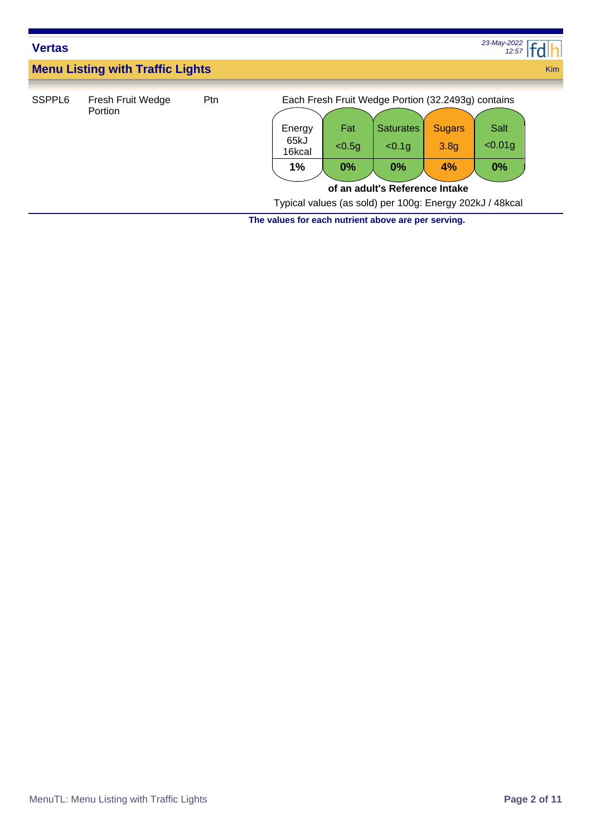| <b>Vertas</b>      |                                         |     |                                |                     |                                                                                                                                                                                      |                                         | 23-May-2022<br>12:57            |            |
|--------------------|-----------------------------------------|-----|--------------------------------|---------------------|--------------------------------------------------------------------------------------------------------------------------------------------------------------------------------------|-----------------------------------------|---------------------------------|------------|
|                    | <b>Menu Listing with Traffic Lights</b> |     |                                |                     |                                                                                                                                                                                      |                                         |                                 | <b>Kim</b> |
| SSPPL <sub>6</sub> | Fresh Fruit Wedge<br>Portion            | Ptn | Energy<br>65kJ<br>16kcal<br>1% | Fat<br>< 0.5g<br>0% | Each Fresh Fruit Wedge Portion (32.2493g) contains<br><b>Saturates</b><br>< 0.1g<br>0%<br>of an adult's Reference Intake<br>Typical values (as sold) per 100g: Energy 202kJ / 48kcal | <b>Sugars</b><br>3.8 <sub>g</sub><br>4% | <b>Salt</b><br>$< 0.01$ g<br>0% |            |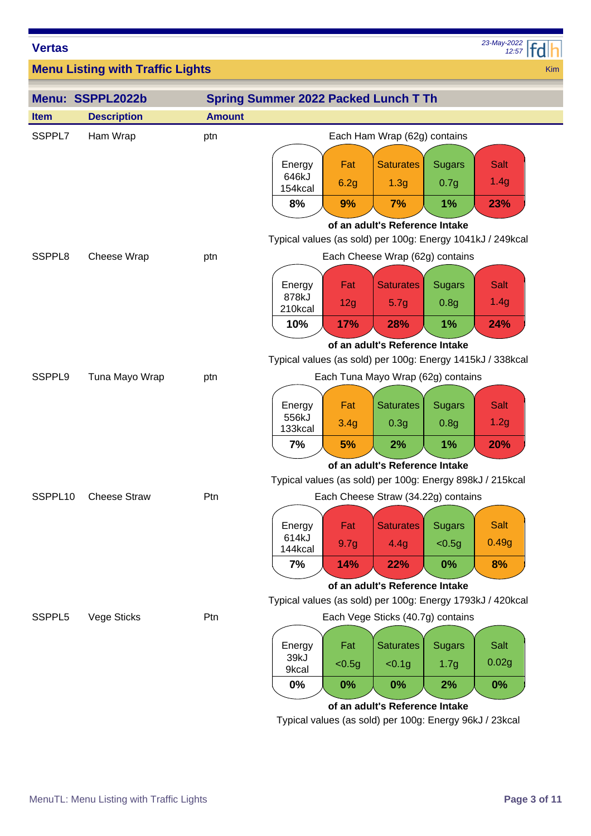*12:57 23-May-2022*

Kim

**Menu Listing with Traffic Lights**

|                     | Menu: SSPPL2022b    |               | <b>Spring Summer 2022 Packed Lunch T Th</b>                |                  |                                      |                       |                                                            |  |
|---------------------|---------------------|---------------|------------------------------------------------------------|------------------|--------------------------------------|-----------------------|------------------------------------------------------------|--|
| <b>Item</b>         | <b>Description</b>  | <b>Amount</b> |                                                            |                  |                                      |                       |                                                            |  |
| SSPPL7              | Ham Wrap            | ptn           | Each Ham Wrap (62g) contains                               |                  |                                      |                       |                                                            |  |
|                     |                     |               | Energy<br>646kJ                                            | Fat<br>6.2g      | <b>Saturates</b><br>1.3 <sub>g</sub> | <b>Sugars</b><br>0.7g | <b>Salt</b><br>1.4g                                        |  |
|                     |                     |               | 154kcal                                                    |                  |                                      |                       |                                                            |  |
|                     |                     |               | 8%                                                         | 9%               | 7%                                   | 1%                    | 23%                                                        |  |
|                     |                     |               |                                                            |                  | of an adult's Reference Intake       |                       | Typical values (as sold) per 100g: Energy 1041kJ / 249kcal |  |
| SSPPL <sub>8</sub>  | Cheese Wrap         | ptn           |                                                            |                  | Each Cheese Wrap (62g) contains      |                       |                                                            |  |
|                     |                     |               | Energy                                                     | Fat              | <b>Saturates</b>                     | <b>Sugars</b>         | <b>Salt</b>                                                |  |
|                     |                     |               | 878kJ<br>210kcal                                           | 12g              | 5.7g                                 | 0.8 <sub>g</sub>      | 1.4g                                                       |  |
|                     |                     |               | 10%                                                        | <b>17%</b>       | 28%                                  | 1%                    | 24%                                                        |  |
|                     |                     |               |                                                            |                  | of an adult's Reference Intake       |                       |                                                            |  |
|                     |                     |               | Typical values (as sold) per 100g: Energy 1415kJ / 338kcal |                  |                                      |                       |                                                            |  |
| SSPPL <sub>9</sub>  | Tuna Mayo Wrap      | ptn           |                                                            |                  | Each Tuna Mayo Wrap (62g) contains   |                       |                                                            |  |
|                     |                     |               | Energy                                                     | Fat              | <b>Saturates</b>                     | <b>Sugars</b>         | <b>Salt</b>                                                |  |
|                     |                     |               | 556kJ<br>133kcal                                           | 3.4 <sub>g</sub> | 0.3 <sub>g</sub>                     | 0.8 <sub>g</sub>      | 1.2g                                                       |  |
|                     |                     |               | 7%                                                         | 5%               | 2%                                   | 1%                    | 20%                                                        |  |
|                     |                     |               | of an adult's Reference Intake                             |                  |                                      |                       |                                                            |  |
|                     |                     |               | Typical values (as sold) per 100g: Energy 898kJ / 215kcal  |                  |                                      |                       |                                                            |  |
| SSPPL <sub>10</sub> | <b>Cheese Straw</b> | Ptn           |                                                            |                  | Each Cheese Straw (34.22g) contains  |                       |                                                            |  |
|                     |                     |               | Energy                                                     | Fat              | <b>Saturates</b>                     | <b>Sugars</b>         | <b>Salt</b>                                                |  |
|                     |                     |               | 614kJ<br>144kcal                                           | 9.7 <sub>g</sub> | 4.4g                                 | < 0.5g                | 0.49g                                                      |  |
|                     |                     |               | 7%                                                         | <b>14%</b>       | <b>22%</b>                           | 0%                    | 8%                                                         |  |
|                     |                     |               |                                                            |                  | of an adult's Reference Intake       |                       |                                                            |  |
|                     |                     |               |                                                            |                  |                                      |                       | Typical values (as sold) per 100g: Energy 1793kJ / 420kcal |  |
| SSPPL5              | Vege Sticks         | Ptn           |                                                            |                  | Each Vege Sticks (40.7g) contains    |                       |                                                            |  |
|                     |                     |               | Energy                                                     | Fat              | <b>Saturates</b>                     | <b>Sugars</b>         | Salt                                                       |  |
|                     |                     |               | 39kJ<br>9kcal                                              | < 0.5g           | < 0.1g                               | 1.7 <sub>g</sub>      | 0.02g                                                      |  |
|                     |                     |               | $0\%$                                                      | $0\%$            | $0\%$                                | 2%                    | 0%                                                         |  |
|                     |                     |               |                                                            |                  | of an adult's Reference Intake       |                       |                                                            |  |

Typical values (as sold) per 100g: Energy 96kJ / 23kcal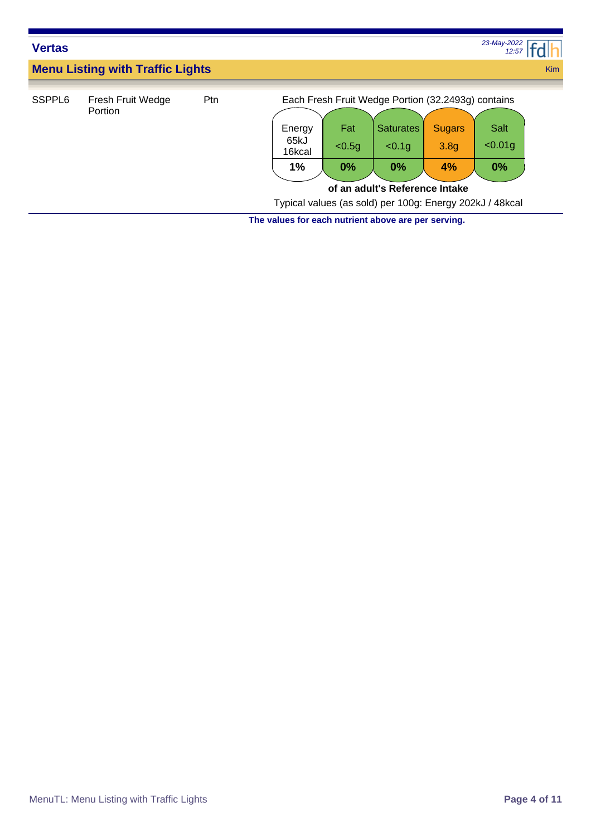| <b>Vertas</b>      |                                         |     |                                |                     |                                                                                                                                                                                      |                                         | 23-May-2022<br>12:57     |            |
|--------------------|-----------------------------------------|-----|--------------------------------|---------------------|--------------------------------------------------------------------------------------------------------------------------------------------------------------------------------------|-----------------------------------------|--------------------------|------------|
|                    | <b>Menu Listing with Traffic Lights</b> |     |                                |                     |                                                                                                                                                                                      |                                         |                          | <b>Kim</b> |
| SSPPL <sub>6</sub> | Fresh Fruit Wedge<br>Portion            | Ptn | Energy<br>65kJ<br>16kcal<br>1% | Fat<br>< 0.5q<br>0% | Each Fresh Fruit Wedge Portion (32.2493g) contains<br><b>Saturates</b><br>< 0.1g<br>0%<br>of an adult's Reference Intake<br>Typical values (as sold) per 100g: Energy 202kJ / 48kcal | <b>Sugars</b><br>3.8 <sub>g</sub><br>4% | Salt<br>$< 0.01$ g<br>0% |            |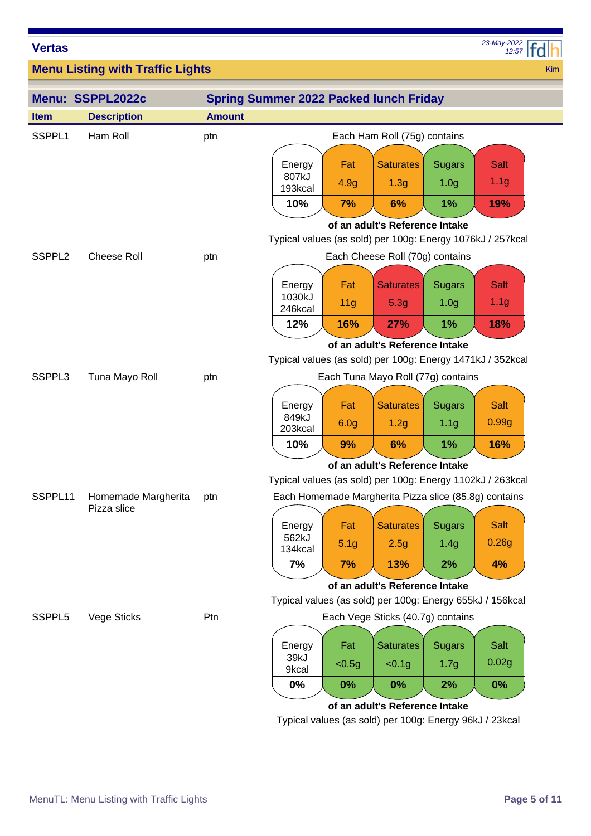*12:57 23-May-2022*

Kim

**Menu Listing with Traffic Lights**

|                    | Menu: SSPPL2022c                   |               | <b>Spring Summer 2022 Packed lunch Friday</b>              |                  |                                                       |                                   |                                                           |
|--------------------|------------------------------------|---------------|------------------------------------------------------------|------------------|-------------------------------------------------------|-----------------------------------|-----------------------------------------------------------|
| <b>Item</b>        | <b>Description</b>                 | <b>Amount</b> |                                                            |                  |                                                       |                                   |                                                           |
| SSPPL <sub>1</sub> | Ham Roll                           | ptn           |                                                            |                  | Each Ham Roll (75g) contains                          |                                   |                                                           |
|                    |                                    |               | Energy<br>807kJ                                            | Fat<br>4.9g      | <b>Saturates</b><br>1.3 <sub>g</sub>                  | <b>Sugars</b><br>1.0 <sub>g</sub> | Salt<br>1.1 <sub>g</sub>                                  |
|                    |                                    |               | 193kcal<br>10%                                             | 7%               | 6%                                                    | 1%                                | 19%                                                       |
|                    |                                    |               |                                                            |                  | of an adult's Reference Intake                        |                                   |                                                           |
| SSPPL <sub>2</sub> | Cheese Roll                        | ptn           | Typical values (as sold) per 100g: Energy 1076kJ / 257kcal |                  | Each Cheese Roll (70g) contains                       |                                   |                                                           |
|                    |                                    |               |                                                            |                  |                                                       |                                   |                                                           |
|                    |                                    |               | Energy                                                     | Fat              | <b>Saturates</b>                                      | <b>Sugars</b>                     | <b>Salt</b>                                               |
|                    |                                    |               | 1030kJ<br>246kcal                                          | 11 <sub>g</sub>  | 5.3g                                                  | 1.0 <sub>g</sub>                  | 1.1 <sub>g</sub>                                          |
|                    |                                    |               | 12%                                                        | 16%              | <b>27%</b>                                            | 1%                                | 18%                                                       |
|                    |                                    |               |                                                            |                  | of an adult's Reference Intake                        |                                   |                                                           |
|                    |                                    |               | Typical values (as sold) per 100g: Energy 1471kJ / 352kcal |                  |                                                       |                                   |                                                           |
| SSPPL3             | Tuna Mayo Roll                     | ptn           |                                                            |                  | Each Tuna Mayo Roll (77g) contains                    |                                   |                                                           |
|                    |                                    |               | Energy                                                     | Fat              | <b>Saturates</b>                                      | <b>Sugars</b>                     | <b>Salt</b>                                               |
|                    |                                    |               | 849kJ<br>203kcal                                           | 6.0 <sub>g</sub> | 1.2g                                                  | 1.1 <sub>g</sub>                  | 0.99g                                                     |
|                    |                                    |               | 10%                                                        | 9%               | 6%                                                    | 1%                                | 16%                                                       |
|                    |                                    |               |                                                            |                  | of an adult's Reference Intake                        |                                   |                                                           |
|                    |                                    |               | Typical values (as sold) per 100g: Energy 1102kJ / 263kcal |                  |                                                       |                                   |                                                           |
| SSPPL11            | Homemade Margherita<br>Pizza slice | ptn           |                                                            |                  | Each Homemade Margherita Pizza slice (85.8g) contains |                                   |                                                           |
|                    |                                    |               | Energy                                                     | Fat              | <b>Saturates</b>                                      | <b>Sugars</b>                     | <b>Salt</b>                                               |
|                    |                                    |               | 562kJ<br>134kcal                                           | 5.1 <sub>g</sub> | 2.5g                                                  | 1.4g                              | 0.26g                                                     |
|                    |                                    |               | 7%                                                         | 7%               | 13%                                                   | 2%                                | 4%                                                        |
|                    |                                    |               |                                                            |                  | of an adult's Reference Intake                        |                                   |                                                           |
|                    |                                    |               |                                                            |                  |                                                       |                                   | Typical values (as sold) per 100g: Energy 655kJ / 156kcal |
| SSPPL5             | Vege Sticks                        | Ptn           |                                                            |                  | Each Vege Sticks (40.7g) contains                     |                                   |                                                           |
|                    |                                    |               |                                                            | Fat              | <b>Saturates</b>                                      |                                   | Salt                                                      |
|                    |                                    |               | Energy<br>39kJ                                             |                  |                                                       | <b>Sugars</b>                     | 0.02g                                                     |
|                    |                                    |               | 9kcal                                                      | < 0.5g           | < 0.1g                                                | 1.7 <sub>g</sub>                  |                                                           |
|                    |                                    |               | $0\%$                                                      | $0\%$            | $0\%$                                                 | 2%                                | 0%                                                        |

#### **of an adult's Reference Intake**

Typical values (as sold) per 100g: Energy 96kJ / 23kcal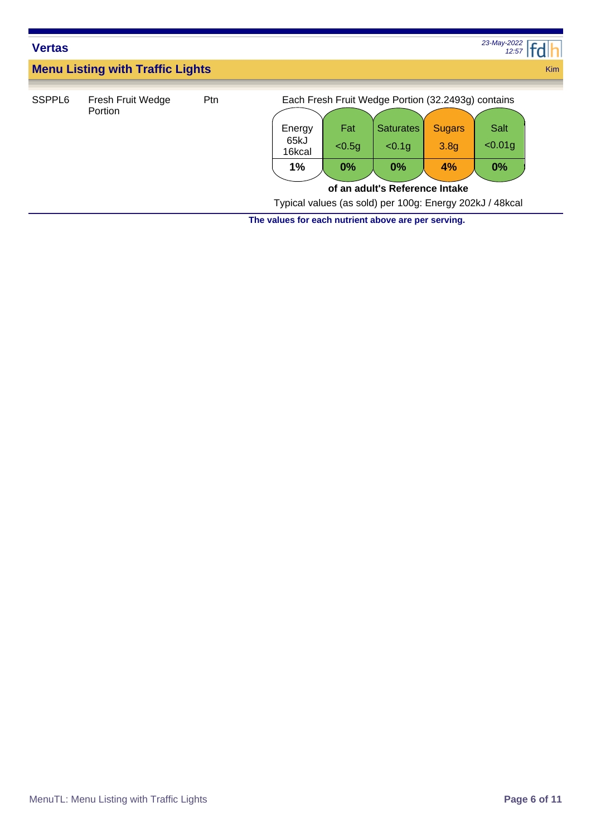| <b>Vertas</b>      |                                         |     |                                |                     |                                                                                                                                                                                      |                                         | 23-May-2022<br>12:57            |            |
|--------------------|-----------------------------------------|-----|--------------------------------|---------------------|--------------------------------------------------------------------------------------------------------------------------------------------------------------------------------------|-----------------------------------------|---------------------------------|------------|
|                    | <b>Menu Listing with Traffic Lights</b> |     |                                |                     |                                                                                                                                                                                      |                                         |                                 | <b>Kim</b> |
| SSPPL <sub>6</sub> | Fresh Fruit Wedge<br>Portion            | Ptn | Energy<br>65kJ<br>16kcal<br>1% | Fat<br>< 0.5g<br>0% | Each Fresh Fruit Wedge Portion (32.2493g) contains<br><b>Saturates</b><br>< 0.1g<br>0%<br>of an adult's Reference Intake<br>Typical values (as sold) per 100g: Energy 202kJ / 48kcal | <b>Sugars</b><br>3.8 <sub>g</sub><br>4% | <b>Salt</b><br>$< 0.01$ g<br>0% |            |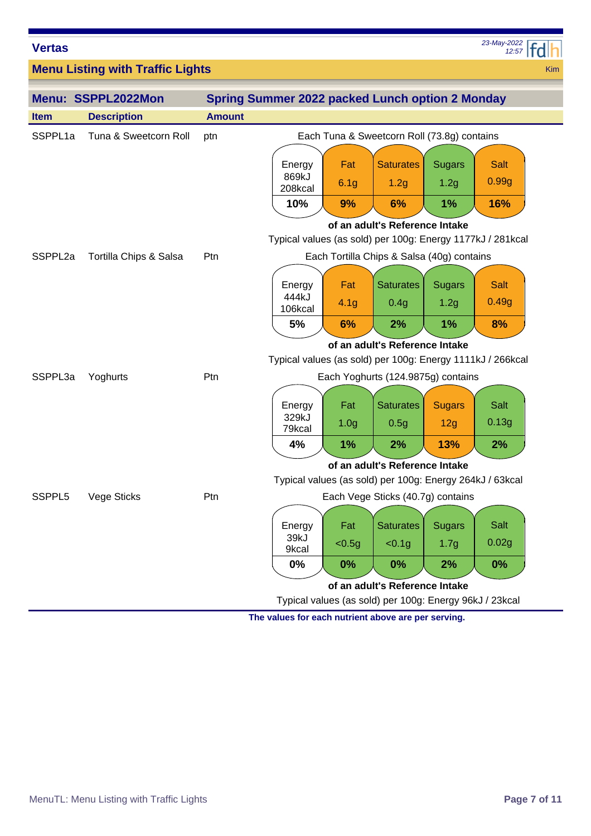| <b>Vertas</b>       |                                         |               |                                                            |                         |                                                                      |                                   | 23-May-2022<br>12:57 |     |
|---------------------|-----------------------------------------|---------------|------------------------------------------------------------|-------------------------|----------------------------------------------------------------------|-----------------------------------|----------------------|-----|
|                     | <b>Menu Listing with Traffic Lights</b> |               |                                                            |                         |                                                                      |                                   |                      | Kim |
|                     | Menu: SSPPL2022Mon                      |               | <b>Spring Summer 2022 packed Lunch option 2 Monday</b>     |                         |                                                                      |                                   |                      |     |
| <b>Item</b>         | <b>Description</b>                      | <b>Amount</b> |                                                            |                         |                                                                      |                                   |                      |     |
| SSPPL <sub>1a</sub> | Tuna & Sweetcorn Roll                   | ptn           |                                                            |                         | Each Tuna & Sweetcorn Roll (73.8g) contains                          |                                   |                      |     |
|                     |                                         |               | Energy<br>869kJ<br>208kcal                                 | Fat<br>6.1 <sub>g</sub> | <b>Saturates</b><br>1.2g                                             | <b>Sugars</b><br>1.2g             | <b>Salt</b><br>0.99g |     |
|                     |                                         |               | 10%                                                        | 9%                      | 6%                                                                   | 1%                                | 16%                  |     |
|                     |                                         |               | Typical values (as sold) per 100g: Energy 1177kJ / 281kcal |                         | of an adult's Reference Intake                                       |                                   |                      |     |
| SSPPL2a             | Tortilla Chips & Salsa                  | Ptn           |                                                            |                         | Each Tortilla Chips & Salsa (40g) contains                           |                                   |                      |     |
|                     |                                         |               | Energy<br>444kJ<br>106kcal                                 | Fat<br>4.1g             | <b>Saturates</b><br>0.4g                                             | <b>Sugars</b><br>1.2g             | <b>Salt</b><br>0.49g |     |
|                     |                                         |               | 5%                                                         | 6%                      | 2%                                                                   | 1%                                | 8%                   |     |
| SSPPL3a             | Yoghurts                                | Ptn           | Typical values (as sold) per 100g: Energy 1111kJ / 266kcal |                         | of an adult's Reference Intake<br>Each Yoghurts (124.9875g) contains |                                   |                      |     |
|                     |                                         |               |                                                            |                         |                                                                      |                                   |                      |     |
|                     |                                         |               | Energy<br>329kJ<br>79kcal                                  | Fat<br>1.0 <sub>g</sub> | <b>Saturates</b><br>0.5g                                             | <b>Sugars</b><br>12g              | <b>Salt</b><br>0.13g |     |
|                     |                                         |               | 4%                                                         | 1%                      | 2%                                                                   | 13%                               | 2%                   |     |
|                     |                                         |               |                                                            |                         | of an adult's Reference Intake                                       |                                   |                      |     |
|                     |                                         |               | Typical values (as sold) per 100g: Energy 264kJ / 63kcal   |                         |                                                                      |                                   |                      |     |
| SSPPL5              | Vege Sticks                             | Ptn           |                                                            |                         | Each Vege Sticks (40.7g) contains                                    |                                   |                      |     |
|                     |                                         |               | Energy<br>39kJ<br>9kcal                                    | Fat<br>< 0.5g           | <b>Saturates</b><br>< 0.1g                                           | <b>Sugars</b><br>1.7 <sub>g</sub> | Salt<br>0.02g        |     |
|                     |                                         |               | 0%                                                         | $0\%$                   | $0\%$                                                                | 2%                                | 0%                   |     |
|                     |                                         |               |                                                            |                         | of an adult's Reference Intake                                       |                                   |                      |     |

Typical values (as sold) per 100g: Energy 96kJ / 23kcal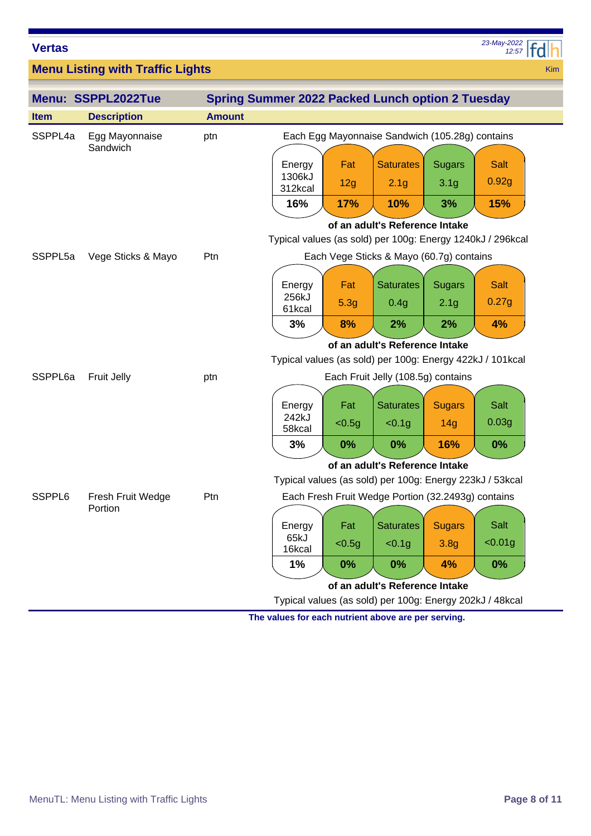*12:57 23-May-2022*

Kim

**Menu Listing with Traffic Lights**

|             | Menu: SSPPL2022Tue         |               | <b>Spring Summer 2022 Packed Lunch option 2 Tuesday</b>    |        |                                                    |                  |             |  |  |  |
|-------------|----------------------------|---------------|------------------------------------------------------------|--------|----------------------------------------------------|------------------|-------------|--|--|--|
| <b>Item</b> | <b>Description</b>         | <b>Amount</b> |                                                            |        |                                                    |                  |             |  |  |  |
| SSPPL4a     | Egg Mayonnaise<br>Sandwich | ptn           |                                                            |        | Each Egg Mayonnaise Sandwich (105.28g) contains    |                  |             |  |  |  |
|             |                            |               | Energy                                                     | Fat    | <b>Saturates</b>                                   | <b>Sugars</b>    | <b>Salt</b> |  |  |  |
|             |                            |               | 1306kJ<br>312kcal                                          | 12g    | 2.1 <sub>g</sub>                                   | 3.1 <sub>g</sub> | 0.92g       |  |  |  |
|             |                            |               | 16%                                                        | 17%    | 10%                                                | 3%               | <b>15%</b>  |  |  |  |
|             |                            |               | of an adult's Reference Intake                             |        |                                                    |                  |             |  |  |  |
|             |                            |               | Typical values (as sold) per 100g: Energy 1240kJ / 296kcal |        |                                                    |                  |             |  |  |  |
| SSPPL5a     | Vege Sticks & Mayo         | Ptn           |                                                            |        | Each Vege Sticks & Mayo (60.7g) contains           |                  |             |  |  |  |
|             |                            |               | Energy                                                     | Fat    | <b>Saturates</b>                                   | <b>Sugars</b>    | <b>Salt</b> |  |  |  |
|             |                            |               | 256kJ<br>61kcal                                            | 5.3g   | 0.4g                                               | 2.1 <sub>g</sub> | 0.27g       |  |  |  |
|             |                            |               | 3%                                                         | 8%     | 2%                                                 | 2%               | 4%          |  |  |  |
|             |                            |               |                                                            |        | of an adult's Reference Intake                     |                  |             |  |  |  |
|             |                            |               | Typical values (as sold) per 100g: Energy 422kJ / 101kcal  |        |                                                    |                  |             |  |  |  |
| SSPPL6a     | Fruit Jelly                | ptn           | Each Fruit Jelly (108.5g) contains                         |        |                                                    |                  |             |  |  |  |
|             |                            |               | Energy                                                     | Fat    | <b>Saturates</b>                                   | <b>Sugars</b>    | Salt        |  |  |  |
|             |                            |               | 242kJ<br>58kcal                                            | $0.5g$ | < 0.1g                                             | 14g              | 0.03g       |  |  |  |
|             |                            |               | 3%                                                         | 0%     | 0%                                                 | 16%              | 0%          |  |  |  |
|             |                            |               |                                                            |        | of an adult's Reference Intake                     |                  |             |  |  |  |
|             |                            |               | Typical values (as sold) per 100g: Energy 223kJ / 53kcal   |        |                                                    |                  |             |  |  |  |
| SSPPL6      | Fresh Fruit Wedge          | Ptn           |                                                            |        | Each Fresh Fruit Wedge Portion (32.2493g) contains |                  |             |  |  |  |
|             | Portion                    |               |                                                            | Fat    | <b>Saturates</b>                                   | <b>Sugars</b>    | Salt        |  |  |  |
|             |                            |               | Energy<br>65kJ                                             | < 0.5g | < 0.1g                                             | 3.8 <sub>g</sub> | < 0.01g     |  |  |  |
|             |                            |               | 16kcal                                                     |        |                                                    |                  |             |  |  |  |
|             |                            |               | 1%                                                         | $0\%$  | 0%                                                 | 4%               | 0%          |  |  |  |
|             |                            |               |                                                            |        | of an adult's Reference Intake                     |                  |             |  |  |  |
|             |                            |               | Typical values (as sold) per 100g: Energy 202kJ / 48kcal   |        |                                                    |                  |             |  |  |  |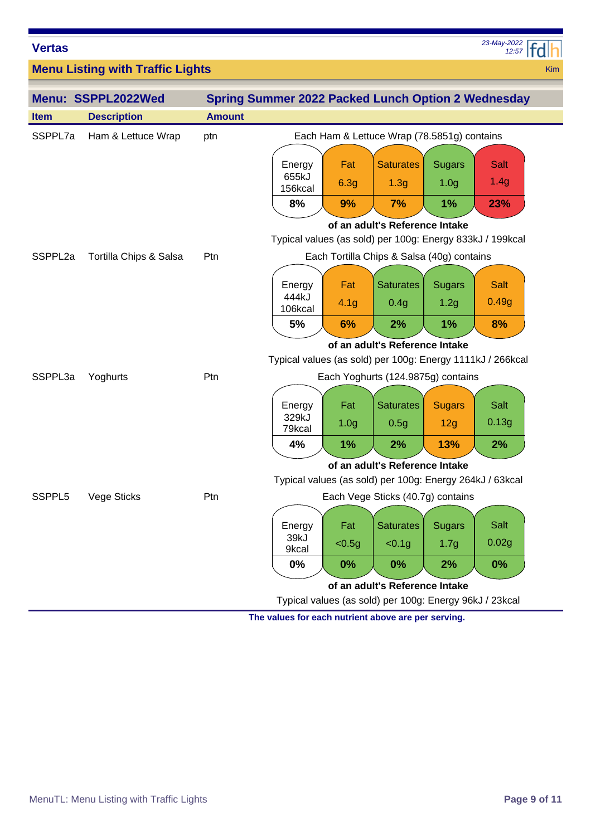*12:57 23-May-2022*

Kim

**Menu Listing with Traffic Lights**

|                     | Menu: SSPPL2022Wed     |               | <b>Spring Summer 2022 Packed Lunch Option 2 Wednesday</b>  |                  |                                                          |                  |             |  |  |
|---------------------|------------------------|---------------|------------------------------------------------------------|------------------|----------------------------------------------------------|------------------|-------------|--|--|
| <b>Item</b>         | <b>Description</b>     | <b>Amount</b> |                                                            |                  |                                                          |                  |             |  |  |
| SSPPL7a             | Ham & Lettuce Wrap     | ptn           |                                                            |                  | Each Ham & Lettuce Wrap (78.5851g) contains              |                  |             |  |  |
|                     |                        |               | Energy<br>655kJ                                            | Fat              | <b>Saturates</b>                                         | <b>Sugars</b>    | Salt        |  |  |
|                     |                        |               | 156kcal                                                    | 6.3g             | 1.3 <sub>g</sub>                                         | 1.0 <sub>g</sub> | 1.4g        |  |  |
|                     |                        |               | 8%                                                         | 9%               | 7%                                                       | 1%               | 23%         |  |  |
|                     |                        |               | of an adult's Reference Intake                             |                  |                                                          |                  |             |  |  |
|                     |                        |               | Typical values (as sold) per 100g: Energy 833kJ / 199kcal  |                  |                                                          |                  |             |  |  |
| SSPPL <sub>2a</sub> | Tortilla Chips & Salsa | Ptn           |                                                            |                  | Each Tortilla Chips & Salsa (40g) contains               |                  |             |  |  |
|                     |                        |               | Energy                                                     | Fat              | <b>Saturates</b>                                         | <b>Sugars</b>    | Salt        |  |  |
|                     |                        |               | 444kJ<br>106kcal                                           | 4.1 <sub>g</sub> | 0.4g                                                     | 1.2g             | 0.49g       |  |  |
|                     |                        |               | 5%                                                         | 6%               | 2%                                                       | 1%               | 8%          |  |  |
|                     |                        |               |                                                            |                  | of an adult's Reference Intake                           |                  |             |  |  |
|                     |                        |               | Typical values (as sold) per 100g: Energy 1111kJ / 266kcal |                  |                                                          |                  |             |  |  |
| SSPPL3a             | Yoghurts               | Ptn           | Each Yoghurts (124.9875g) contains                         |                  |                                                          |                  |             |  |  |
|                     |                        |               | Energy                                                     | Fat              | <b>Saturates</b>                                         | <b>Sugars</b>    | <b>Salt</b> |  |  |
|                     |                        |               | 329kJ<br>79kcal                                            | 1.0 <sub>g</sub> | 0.5g                                                     | 12g              | 0.13g       |  |  |
|                     |                        |               | 4%                                                         | 1%               | 2%                                                       | 13%              | 2%          |  |  |
|                     |                        |               |                                                            |                  | of an adult's Reference Intake                           |                  |             |  |  |
|                     |                        |               |                                                            |                  | Typical values (as sold) per 100g: Energy 264kJ / 63kcal |                  |             |  |  |
| SSPPL5              | Vege Sticks            | Ptn           |                                                            |                  | Each Vege Sticks (40.7g) contains                        |                  |             |  |  |
|                     |                        |               | Energy                                                     | Fat              | <b>Saturates</b>                                         | <b>Sugars</b>    | Salt        |  |  |
|                     |                        |               | 39kJ<br>9kcal                                              | < 0.5g           | < 0.1g                                                   | 1.7 <sub>g</sub> | 0.02g       |  |  |
|                     |                        |               | 0%                                                         | 0%               | $0\%$                                                    | 2%               | 0%          |  |  |
|                     |                        |               |                                                            |                  | of an adult's Reference Intake                           |                  |             |  |  |
|                     |                        |               |                                                            |                  | Typical values (as sold) per 100g: Energy 96kJ / 23kcal  |                  |             |  |  |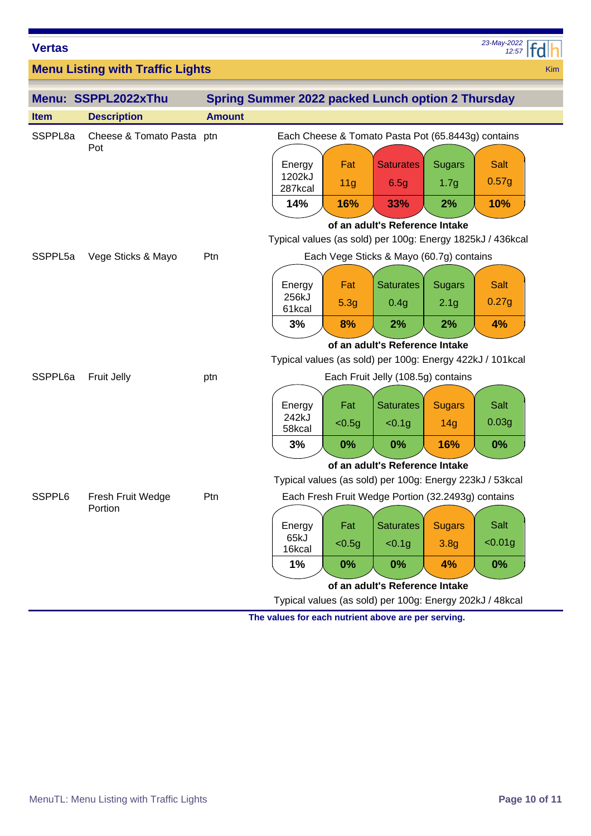| <b>Vertas</b>       |                                         |               |                                                            |                 |                                                    |                  | 23-May-2022<br>12:57 |            |
|---------------------|-----------------------------------------|---------------|------------------------------------------------------------|-----------------|----------------------------------------------------|------------------|----------------------|------------|
|                     | <b>Menu Listing with Traffic Lights</b> |               |                                                            |                 |                                                    |                  |                      | <b>Kim</b> |
|                     | Menu: SSPPL2022xThu                     |               | Spring Summer 2022 packed Lunch option 2 Thursday          |                 |                                                    |                  |                      |            |
| <b>Item</b>         | <b>Description</b>                      | <b>Amount</b> |                                                            |                 |                                                    |                  |                      |            |
| SSPPL8a             | Cheese & Tomato Pasta ptn<br>Pot        |               | Each Cheese & Tomato Pasta Pot (65.8443g) contains         |                 |                                                    |                  |                      |            |
|                     |                                         |               | Energy                                                     | Fat             | <b>Saturates</b>                                   | <b>Sugars</b>    | Salt                 |            |
|                     |                                         |               | 1202kJ<br>287kcal                                          | 11 <sub>g</sub> | 6.5g                                               | 1.7 <sub>g</sub> | 0.57g                |            |
|                     |                                         |               | 14%                                                        | 16%             | 33%                                                | 2%               | 10%                  |            |
|                     |                                         |               |                                                            |                 | of an adult's Reference Intake                     |                  |                      |            |
|                     |                                         |               | Typical values (as sold) per 100g: Energy 1825kJ / 436kcal |                 |                                                    |                  |                      |            |
| SSPPL <sub>5a</sub> | Vege Sticks & Mayo                      | Ptn           |                                                            |                 | Each Vege Sticks & Mayo (60.7g) contains           |                  |                      |            |
|                     |                                         |               | Energy                                                     | Fat             | <b>Saturates</b>                                   | <b>Sugars</b>    | <b>Salt</b>          |            |
|                     |                                         |               | 256kJ<br>61kcal                                            | 5.3g            | 0.4g                                               | 2.1 <sub>g</sub> | 0.27g                |            |
|                     |                                         |               | 3%                                                         | 8%              | 2%                                                 | 2%               | 4%                   |            |
|                     |                                         |               |                                                            |                 | of an adult's Reference Intake                     |                  |                      |            |
|                     |                                         |               | Typical values (as sold) per 100g: Energy 422kJ / 101kcal  |                 |                                                    |                  |                      |            |
| SSPPL6a             | Fruit Jelly                             | ptn           |                                                            |                 | Each Fruit Jelly (108.5g) contains                 |                  |                      |            |
|                     |                                         |               | Energy                                                     | Fat             | <b>Saturates</b>                                   | <b>Sugars</b>    | <b>Salt</b>          |            |
|                     |                                         |               | 242kJ<br>58kcal                                            | < 0.5g          | < 0.1g                                             | 14g              | 0.03g                |            |
|                     |                                         |               | 3%                                                         | $0\%$           | 0%                                                 | 16%              | $0\%$                |            |
|                     |                                         |               |                                                            |                 | of an adult's Reference Intake                     |                  |                      |            |
|                     |                                         |               | Typical values (as sold) per 100g: Energy 223kJ / 53kcal   |                 |                                                    |                  |                      |            |
| SSPPL6              | Fresh Fruit Wedge                       | Ptn           |                                                            |                 | Each Fresh Fruit Wedge Portion (32.2493g) contains |                  |                      |            |
|                     | Portion                                 |               |                                                            |                 |                                                    |                  |                      |            |
|                     |                                         |               | Energy<br>65kJ                                             | Fat             | <b>Saturates</b>                                   | <b>Sugars</b>    | Salt                 |            |
|                     |                                         |               | 16kcal                                                     | $0.5g$          | < 0.1g                                             | 3.8 <sub>g</sub> | < 0.01g              |            |
|                     |                                         |               | 1%                                                         | 0%              | 0%                                                 | 4%               | 0%                   |            |
|                     |                                         |               |                                                            |                 | of an adult's Reference Intake                     |                  |                      |            |
|                     |                                         |               | Typical values (as sold) per 100g: Energy 202kJ / 48kcal   |                 |                                                    |                  |                      |            |